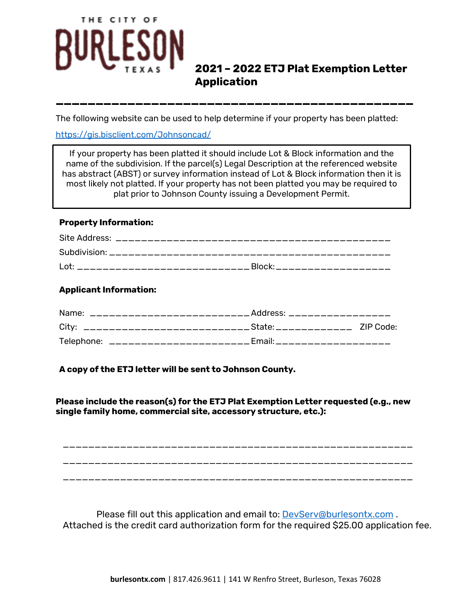# THE CITY OF

# **2021 – 2022 ETJ Plat Exemption Letter Application**

The following website can be used to help determine if your property has been platted:

**\_\_\_\_\_\_\_\_\_\_\_\_\_\_\_\_\_\_\_\_\_\_\_\_\_\_\_\_\_\_\_\_\_\_\_\_\_\_\_\_\_\_\_\_\_**

<https://gis.bisclient.com/Johnsoncad/>

If your property has been platted it should include Lot & Block information and the name of the subdivision. If the parcel(s) Legal Description at the referenced website has abstract (ABST) or survey information instead of Lot & Block information then it is most likely not platted. If your property has not been platted you may be required to plat prior to Johnson County issuing a Development Permit.

### **Property Information:**

| ⊥ot: |  |
|------|--|

### **Applicant Information:**

| ___________________________Address: ________________<br>Name: |  |
|---------------------------------------------------------------|--|
|                                                               |  |
| Telephone: _______________________Email:___________________   |  |

## **A copy of the ETJ letter will be sent to Johnson County.**

**Please include the reason(s) for the ETJ Plat Exemption Letter requested (e.g., new single family home, commercial site, accessory structure, etc.):**

\_\_\_\_\_\_\_\_\_\_\_\_\_\_\_\_\_\_\_\_\_\_\_\_\_\_\_\_\_\_\_\_\_\_\_\_\_\_\_\_\_\_\_\_\_\_\_\_\_\_\_\_\_\_\_ \_\_\_\_\_\_\_\_\_\_\_\_\_\_\_\_\_\_\_\_\_\_\_\_\_\_\_\_\_\_\_\_\_\_\_\_\_\_\_\_\_\_\_\_\_\_\_\_\_\_\_\_\_\_\_

\_\_\_\_\_\_\_\_\_\_\_\_\_\_\_\_\_\_\_\_\_\_\_\_\_\_\_\_\_\_\_\_\_\_\_\_\_\_\_\_\_\_\_\_\_\_\_\_\_\_\_\_\_\_\_

Please fill out this application and email to: [DevServ@burlesontx.com](mailto:DevServ@burlesontx.com) . Attached is the credit card authorization form for the required \$25.00 application fee.